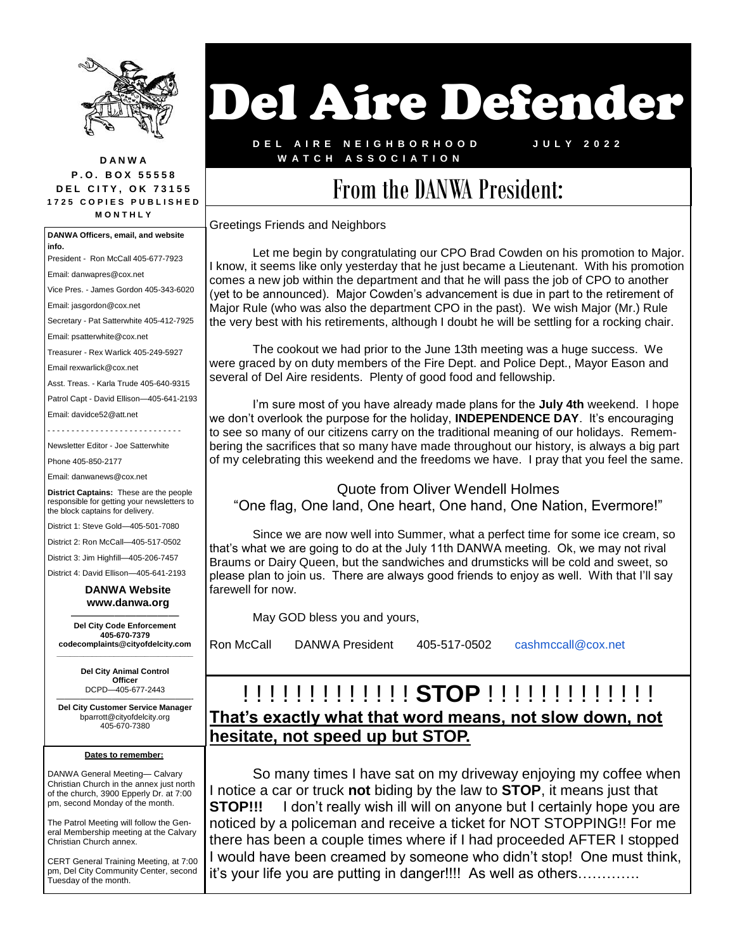

**D A N W A P . O . B O X 5 5 5 5 8 DEL CITY, OK 73155 1 7 2 5 C O P I E S P U B L I S H E D M O N T H L Y**

**Dates to remember:** DANWA General Meeting— Calvary Christian Church in the annex just north of the church, 3900 Epperly Dr. at 7:00 pm, second Monday of the month. The Patrol Meeting will follow the General Membership meeting at the Calvary Christian Church annex. CERT General Training Meeting, at 7:00 pm, Del City Community Center, second Tuesday of the month. **DANWA Officers, email, and website info.** President - Ron McCall 405-677-7923 Email: danwapres@cox.net Vice Pres. - James Gordon 405-343-6020 Email: jasgordon@cox.net Secretary - Pat Satterwhite 405-412-7925 Email: psatterwhite@cox.net Treasurer - Rex Warlick 405-249-5927 Email rexwarlick@cox.net Asst. Treas. - Karla Trude 405-640-9315 Patrol Capt - David Ellison—405-641-2193 Email: davidce52@att.net Newsletter Editor - Joe Satterwhite Phone 405-850-2177 Email: danwanews@cox.net **District Captains:** These are the people responsible for getting your newsletters to the block captains for delivery. District 1: Steve Gold—405-501-7080 District 2: Ron McCall—405-517-0502 District 3: Jim Highfill—405-206-7457 District 4: David Ellison—405-641-2193  **DANWA Website www.danwa.org**  —————————— **Del City Code Enforcement 405-670-7379 codecomplaints@cityofdelcity.com \_\_\_\_\_\_\_\_\_\_\_\_\_\_\_\_\_\_\_\_\_\_\_\_\_\_\_\_\_\_\_ Del City Animal Control Officer**  DCPD—405-677-2443 —————————————————- **Del City Customer Service Manager** bparrott@cityofdelcity.org 405-670-7380

# Del Aire Defender

**D E L A I R E N E I G H B O R H O O D W A T C H A S S O C I A T I O N**

**J U L Y 2 0 2 2**

## From the DANWA President:

Greetings Friends and Neighbors

Let me begin by congratulating our CPO Brad Cowden on his promotion to Major. I know, it seems like only yesterday that he just became a Lieutenant. With his promotion comes a new job within the department and that he will pass the job of CPO to another (yet to be announced). Major Cowden's advancement is due in part to the retirement of Major Rule (who was also the department CPO in the past). We wish Major (Mr.) Rule the very best with his retirements, although I doubt he will be settling for a rocking chair.

The cookout we had prior to the June 13th meeting was a huge success. We were graced by on duty members of the Fire Dept. and Police Dept., Mayor Eason and several of Del Aire residents. Plenty of good food and fellowship.

I'm sure most of you have already made plans for the **July 4th** weekend. I hope we don't overlook the purpose for the holiday, **INDEPENDENCE DAY**. It's encouraging to see so many of our citizens carry on the traditional meaning of our holidays. Remembering the sacrifices that so many have made throughout our history, is always a big part of my celebrating this weekend and the freedoms we have. I pray that you feel the same.

#### Quote from Oliver Wendell Holmes "One flag, One land, One heart, One hand, One Nation, Evermore!"

Since we are now well into Summer, what a perfect time for some ice cream, so that's what we are going to do at the July 11th DANWA meeting. Ok, we may not rival Braums or Dairy Queen, but the sandwiches and drumsticks will be cold and sweet, so please plan to join us. There are always good friends to enjoy as well. With that I'll say farewell for now.

May GOD bless you and yours,

Ron McCall DANWA President 405-517-0502 cashmccall@cox.net

#### ! ! ! ! ! ! ! ! ! ! ! ! ! **STOP** ! ! ! ! ! ! ! ! ! ! ! ! ! **That's exactly what that word means, not slow down, not hesitate, not speed up but STOP.**

So many times I have sat on my driveway enjoying my coffee when I notice a car or truck **not** biding by the law to **STOP**, it means just that **STOP!!!** I don't really wish ill will on anyone but I certainly hope you are noticed by a policeman and receive a ticket for NOT STOPPING!! For me there has been a couple times where if I had proceeded AFTER I stopped I would have been creamed by someone who didn't stop! One must think, it's your life you are putting in danger!!!! As well as others………….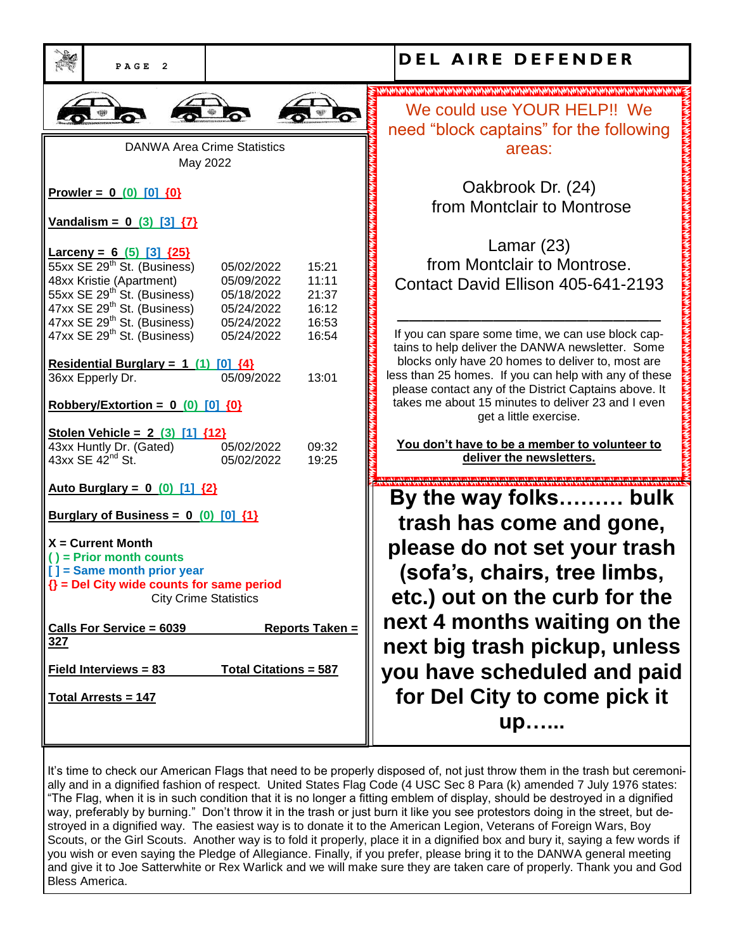| PAGE<br>$\overline{2}$                                                                                                                                                                                                                |                                                                                                                 | <b>DEL AIRE DEFENDER</b>                                                                                                                                                                                                                                                     |
|---------------------------------------------------------------------------------------------------------------------------------------------------------------------------------------------------------------------------------------|-----------------------------------------------------------------------------------------------------------------|------------------------------------------------------------------------------------------------------------------------------------------------------------------------------------------------------------------------------------------------------------------------------|
|                                                                                                                                                                                                                                       |                                                                                                                 |                                                                                                                                                                                                                                                                              |
|                                                                                                                                                                                                                                       |                                                                                                                 | We could use YOUR HELP!! We<br>need "block captains" for the following                                                                                                                                                                                                       |
| <b>DANWA Area Crime Statistics</b><br>May 2022                                                                                                                                                                                        |                                                                                                                 | areas:                                                                                                                                                                                                                                                                       |
| Prowler = $0$ (0) [0] {0}                                                                                                                                                                                                             |                                                                                                                 | Oakbrook Dr. (24)<br>from Montclair to Montrose                                                                                                                                                                                                                              |
| <u>Vandalism = <math>0</math> (3) [3] <math>\{7\}</math></u>                                                                                                                                                                          |                                                                                                                 |                                                                                                                                                                                                                                                                              |
| Larceny = $6(5)$ [3] $\{25\}$<br>55xx SE 29 <sup>th</sup> St. (Business)<br>48xx Kristie (Apartment)<br>55xx SE 29 <sup>th</sup> St. (Business)<br>47xx SE 29 <sup>th</sup> St. (Business)<br>47xx SE 29 <sup>th</sup> St. (Business) | 15:21<br>05/02/2022<br>11:11<br>05/09/2022<br>21:37<br>05/18/2022<br>16:12<br>05/24/2022<br>16:53<br>05/24/2022 | Lamar $(23)$<br>from Montclair to Montrose.<br>Contact David Ellison 405-641-2193                                                                                                                                                                                            |
| 47xx SE 29 <sup>th</sup> St. (Business)<br>Residential Burglary = $1(1)$ [0] $\{4\}$<br>36xx Epperly Dr.                                                                                                                              | 16:54<br>05/24/2022<br>05/09/2022<br>13:01                                                                      | If you can spare some time, we can use block cap-<br>tains to help deliver the DANWA newsletter. Some<br>blocks only have 20 homes to deliver to, most are<br>less than 25 homes. If you can help with any of these<br>please contact any of the District Captains above. It |
| Robbery/Extortion = $0$ (0) [0] $\{0\}$                                                                                                                                                                                               |                                                                                                                 | takes me about 15 minutes to deliver 23 and I even<br>get a little exercise.                                                                                                                                                                                                 |
| Stolen Vehicle = 2 (3) [1] {12}<br>43xx Huntly Dr. (Gated)<br>$43xx$ SE $42nd$ St.                                                                                                                                                    | 05/02/2022<br>09:32<br>05/02/2022<br>19:25                                                                      | You don't have to be a member to volunteer to<br>deliver the newsletters.                                                                                                                                                                                                    |
| <u>Auto Burglary = <math>0</math> (0) [1] <math>\{2\}</math></u>                                                                                                                                                                      |                                                                                                                 | By the way folks bulk                                                                                                                                                                                                                                                        |
| Burglary of Business = $0$ (0) [0] $\{1\}$                                                                                                                                                                                            |                                                                                                                 | trash has come and gone,                                                                                                                                                                                                                                                     |
| $X =$ Current Month<br>$()$ = Prior month counts<br>[] = Same month prior year<br>$\{\}$ = Del City wide counts for same period<br><b>City Crime Statistics</b>                                                                       |                                                                                                                 | please do not set your trash<br>(sofa's, chairs, tree limbs,<br>etc.) out on the curb for the                                                                                                                                                                                |
| <b>Calls For Service = 6039</b>                                                                                                                                                                                                       | Reports Taken =                                                                                                 | next 4 months waiting on the                                                                                                                                                                                                                                                 |
| <u>327</u><br><b>Total Citations = 587</b><br>Field Interviews = 83                                                                                                                                                                   |                                                                                                                 | next big trash pickup, unless<br>you have scheduled and paid                                                                                                                                                                                                                 |
| <u><b>Total Arrests = 147</b></u>                                                                                                                                                                                                     |                                                                                                                 | for Del City to come pick it<br>up                                                                                                                                                                                                                                           |

It's time to check our American Flags that need to be properly disposed of, not just throw them in the trash but ceremonially and in a dignified fashion of respect. United States Flag Code (4 USC Sec 8 Para (k) amended 7 July 1976 states: "The Flag, when it is in such condition that it is no longer a fitting emblem of display, should be destroyed in a dignified way, preferably by burning." Don't throw it in the trash or just burn it like you see protestors doing in the street, but destroyed in a dignified way. The easiest way is to donate it to the American Legion, Veterans of Foreign Wars, Boy Scouts, or the Girl Scouts. Another way is to fold it properly, place it in a dignified box and bury it, saying a few words if you wish or even saying the Pledge of Allegiance. Finally, if you prefer, please bring it to the DANWA general meeting and give it to Joe Satterwhite or Rex Warlick and we will make sure they are taken care of properly. Thank you and God Bless America.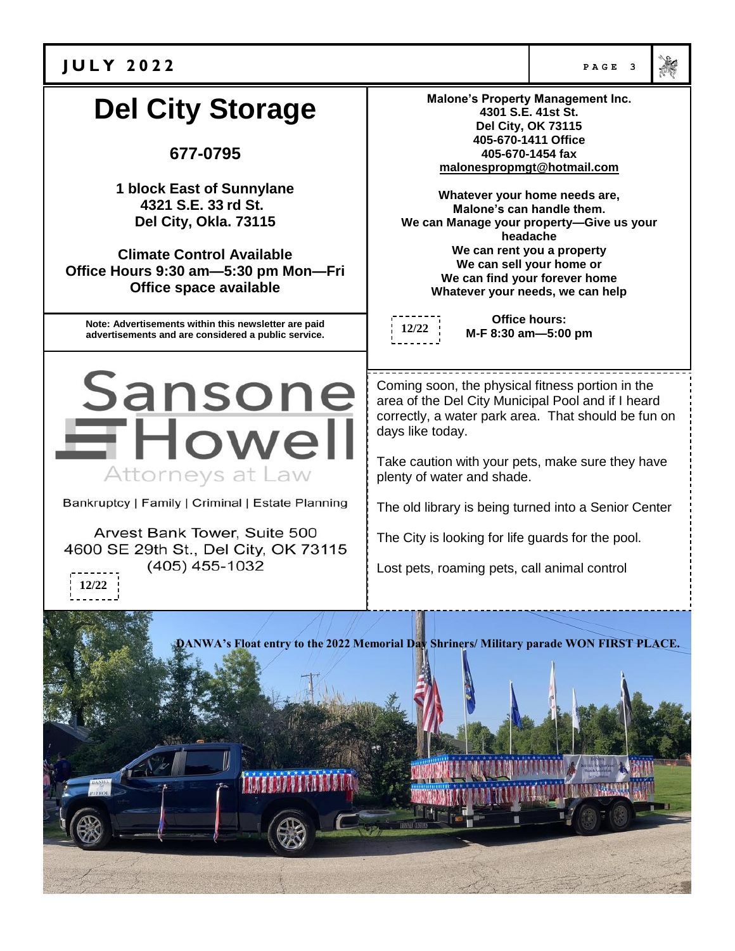| <b>JULY 2022</b>                                                                                                                                                                                       | PAGE 3                                                                                                                                                                                                                                                                                                                                                                                                                           |                                             |  |
|--------------------------------------------------------------------------------------------------------------------------------------------------------------------------------------------------------|----------------------------------------------------------------------------------------------------------------------------------------------------------------------------------------------------------------------------------------------------------------------------------------------------------------------------------------------------------------------------------------------------------------------------------|---------------------------------------------|--|
| <b>Del City Storage</b><br>677-0795                                                                                                                                                                    | <b>Malone's Property Management Inc.</b><br>4301 S.E. 41st St.<br><b>Del City, OK 73115</b><br>405-670-1411 Office<br>405-670-1454 fax                                                                                                                                                                                                                                                                                           |                                             |  |
| 1 block East of Sunnylane<br>4321 S.E. 33 rd St.<br>Del City, Okla. 73115<br><b>Climate Control Available</b><br>Office Hours 9:30 am-5:30 pm Mon-Fri<br>Office space available                        | malonespropmgt@hotmail.com<br>Whatever your home needs are,<br>Malone's can handle them.<br>We can Manage your property-Give us your<br>headache<br>We can rent you a property<br>We can sell your home or<br>We can find your forever home<br>Whatever your needs, we can help                                                                                                                                                  |                                             |  |
| Note: Advertisements within this newsletter are paid<br>advertisements and are considered a public service.                                                                                            |                                                                                                                                                                                                                                                                                                                                                                                                                                  | <b>Office hours:</b><br>M-F 8:30 am-5:00 pm |  |
| Sansone<br><b>EHowell</b><br>Attorneys at Law<br>Bankruptcy   Family   Criminal   Estate Planning<br>Arvest Bank Tower, Suite 500<br>4600 SE 29th St., Del City, OK 73115<br>$(405)$ 455-1032<br>12/22 | Coming soon, the physical fitness portion in the<br>area of the Del City Municipal Pool and if I heard<br>correctly, a water park area. That should be fun on<br>days like today.<br>Take caution with your pets, make sure they have<br>plenty of water and shade.<br>The old library is being turned into a Senior Center<br>The City is looking for life guards for the pool.<br>Lost pets, roaming pets, call animal control |                                             |  |
| DANWA's Float entry to the 2022 Memorial Day Shriners/ Military parade WON FIRST PLACE.                                                                                                                |                                                                                                                                                                                                                                                                                                                                                                                                                                  |                                             |  |